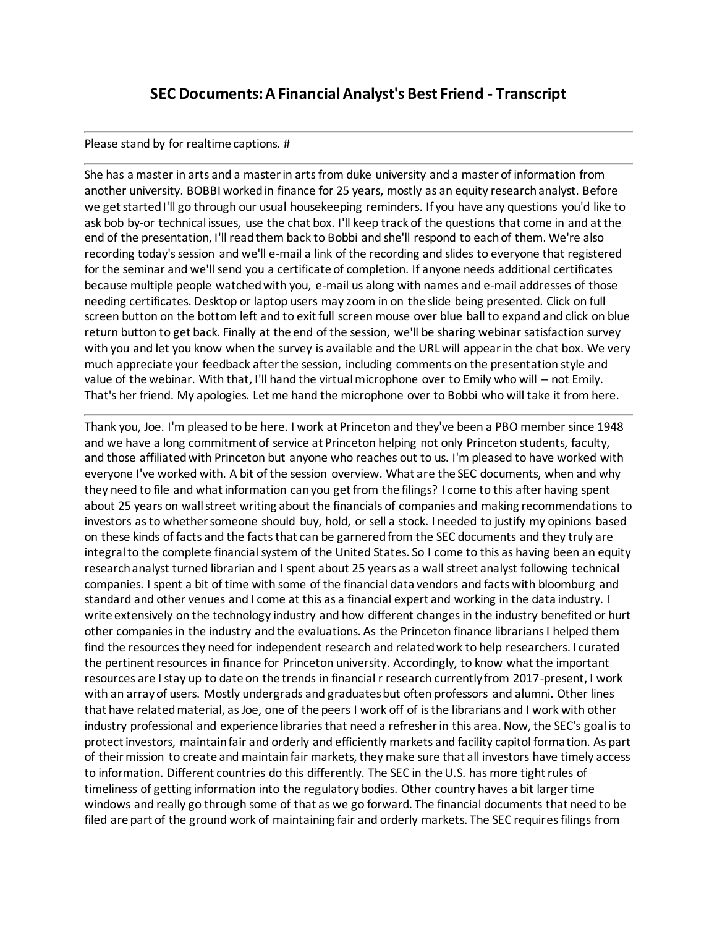## **SEC Documents: A Financial Analyst's Best Friend - Transcript**

## Please stand by for realtime captions. #

She has a master in arts and a master in arts from duke university and a master of information from another university. BOBBI worked in finance for 25 years, mostly as an equity research analyst. Before we get started I'll go through our usual housekeeping reminders. If you have any questions you'd like to ask bob by-or technical issues, use the chat box. I'll keep track of the questions that come in and at the end of the presentation, I'll read them back to Bobbi and she'll respond to each of them. We're also recording today's session and we'll e-mail a link of the recording and slides to everyone that registered for the seminar and we'll send you a certificate of completion. If anyone needs additional certificates because multiple people watched with you, e-mail us along with names and e-mail addresses of those needing certificates. Desktop or laptop users may zoom in on the slide being presented. Click on full screen button on the bottom left and to exit full screen mouse over blue ball to expand and click on blue return button to get back. Finally at the end of the session, we'll be sharing webinar satisfaction survey with you and let you know when the survey is available and the URL will appear in the chat box. We very much appreciate your feedback after the session, including comments on the presentation style and value of the webinar. With that, I'll hand the virtual microphone over to Emily who will -- not Emily. That's her friend. My apologies. Let me hand the microphone over to Bobbi who will take it from here.

Thank you, Joe. I'm pleased to be here. I work at Princeton and they've been a PBO member since 1948 and we have a long commitment of service at Princeton helping not only Princeton students, faculty, and those affiliated with Princeton but anyone who reaches out to us. I'm pleased to have worked with everyone I've worked with. A bit of the session overview. What are the SEC documents, when and why they need to file and what information can you get from the filings? I come to this after having spent about 25 years on wall street writing about the financials of companies and making recommendations to investors as to whether someone should buy, hold, or sell a stock. I needed to justify my opinions based on these kinds of facts and the facts that can be garnered from the SEC documents and they truly are integral to the complete financial system of the United States. So I come to this as having been an equity research analyst turned librarian and I spent about 25 years as a wall street analyst following technical companies. I spent a bit of time with some of the financial data vendors and facts with bloomburg and standard and other venues and I come at this as a financial expert and working in the data industry. I write extensively on the technology industry and how different changes in the industry benefited or hurt other companies in the industry and the evaluations. As the Princeton finance librarians I helped them find the resources they need for independent research and related work to help researchers. I curated the pertinent resources in finance for Princeton university. Accordingly, to know what the important resources are I stay up to date on the trends in financial r research currently from 2017-present, I work with an array of users. Mostly undergrads and graduates but often professors and alumni. Other lines that have related material, as Joe, one of the peers I work off of is the librarians and I work with other industry professional and experience libraries that need a refresher in this area. Now, the SEC's goal is to protect investors, maintain fair and orderly and efficiently markets and facility capitol formation. As part of their mission to create and maintain fair markets, they make sure that all investors have timely access to information. Different countries do this differently. The SEC in the U.S. has more tight rules of timeliness of getting information into the regulatory bodies. Other country haves a bit larger time windows and really go through some of that as we go forward. The financial documents that need to be filed are part of the ground work of maintaining fair and orderly markets. The SEC requires filings from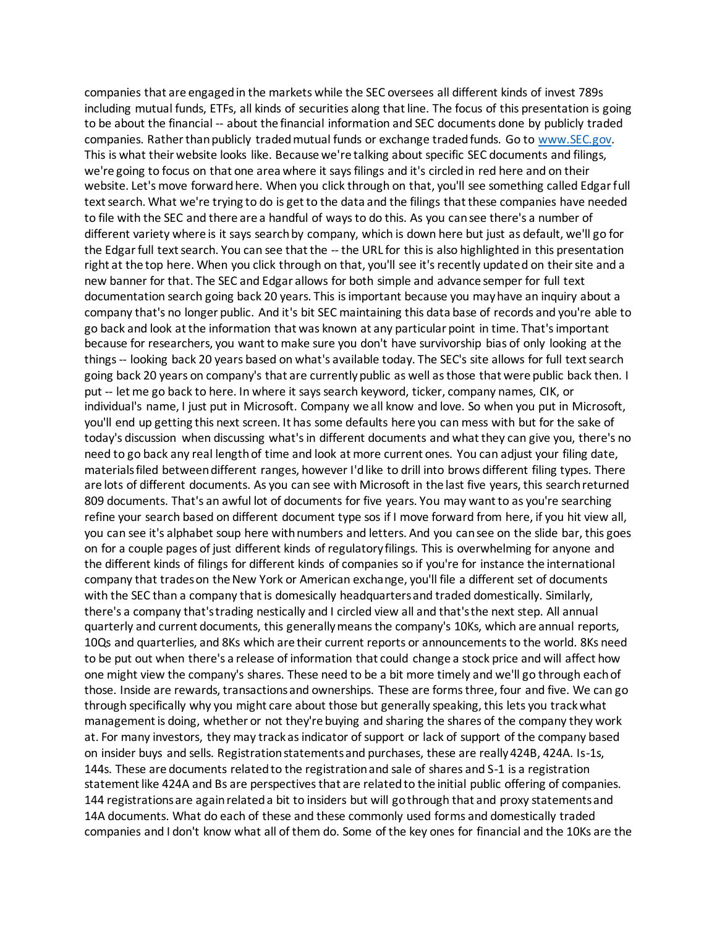companies that are engaged in the markets while the SEC oversees all different kinds of invest 789s including mutual funds, ETFs, all kinds of securities along that line. The focus of this presentation is going to be about the financial -- about the financial information and SEC documents done by publicly traded companies. Rather than publicly traded mutual funds or exchange traded funds. Go to [www.SEC.gov.](http://www.sec.gov/) This is what their website looks like. Because we're talking about specific SEC documents and filings, we're going to focus on that one area where it says filings and it's circled in red here and on their website. Let's move forward here. When you click through on that, you'll see something called Edgar full text search. What we're trying to do is get to the data and the filings that these companies have needed to file with the SEC and there are a handful of ways to do this. As you can see there's a number of different variety where is it says search by company, which is down here but just as default, we'll go for the Edgar full text search. You can see that the -- the URL for this is also highlighted in this presentation right at the top here. When you click through on that, you'll see it's recently updated on their site and a new banner for that. The SEC and Edgar allows for both simple and advance semper for full text documentation search going back 20 years. This is important because you may have an inquiry about a company that's no longer public. And it's bit SEC maintaining this data base of records and you're able to go back and look at the information that was known at any particular point in time. That's important because for researchers, you want to make sure you don't have survivorship bias of only looking at the things -- looking back 20 years based on what's available today. The SEC's site allows for full text search going back 20 years on company's that are currently public as well as those that were public back then. I put -- let me go back to here. In where it says search keyword, ticker, company names, CIK, or individual's name, I just put in Microsoft. Company we all know and love. So when you put in Microsoft, you'll end up getting this next screen. It has some defaults here you can mess with but for the sake of today's discussion when discussing what's in different documents and what they can give you, there's no need to go back any real length of time and look at more current ones. You can adjust your filing date, materials filed between different ranges, however I'd like to drill into brows different filing types. There are lots of different documents. As you can see with Microsoft in the last five years, this search returned 809 documents. That's an awful lot of documents for five years. You may want to as you're searching refine your search based on different document type sos if I move forward from here, if you hit view all, you can see it's alphabet soup here with numbers and letters. And you can see on the slide bar, this goes on for a couple pages of just different kinds of regulatory filings. This is overwhelming for anyone and the different kinds of filings for different kinds of companies so if you're for instance the international company that trades on the New York or American exchange, you'll file a different set of documents with the SEC than a company that is domesically headquarters and traded domestically. Similarly, there's a company that's trading nestically and I circled view all and that's the next step. All annual quarterly and current documents, this generally means the company's 10Ks, which are annual reports, 10Qs and quarterlies, and 8Ks which are their current reports or announcements to the world. 8Ks need to be put out when there's a release of information that could change a stock price and will affect how one might view the company's shares. These need to be a bit more timely and we'll go through each of those. Inside are rewards, transactions and ownerships. These are forms three, four and five. We can go through specifically why you might care about those but generally speaking, this lets you track what management is doing, whether or not they're buying and sharing the shares of the company they work at. For many investors, they may track as indicator of support or lack of support of the company based on insider buys and sells. Registration statements and purchases, these are really 424B, 424A. Is-1s, 144s. These are documents related to the registration and sale of shares and S-1 is a registration statement like 424A and Bs are perspectives that are related to the initial public offering of companies. 144 registrations are again related a bit to insiders but will go through that and proxy statements and 14A documents. What do each of these and these commonly used forms and domestically traded companies and I don't know what all of them do. Some of the key ones for financial and the 10Ks are the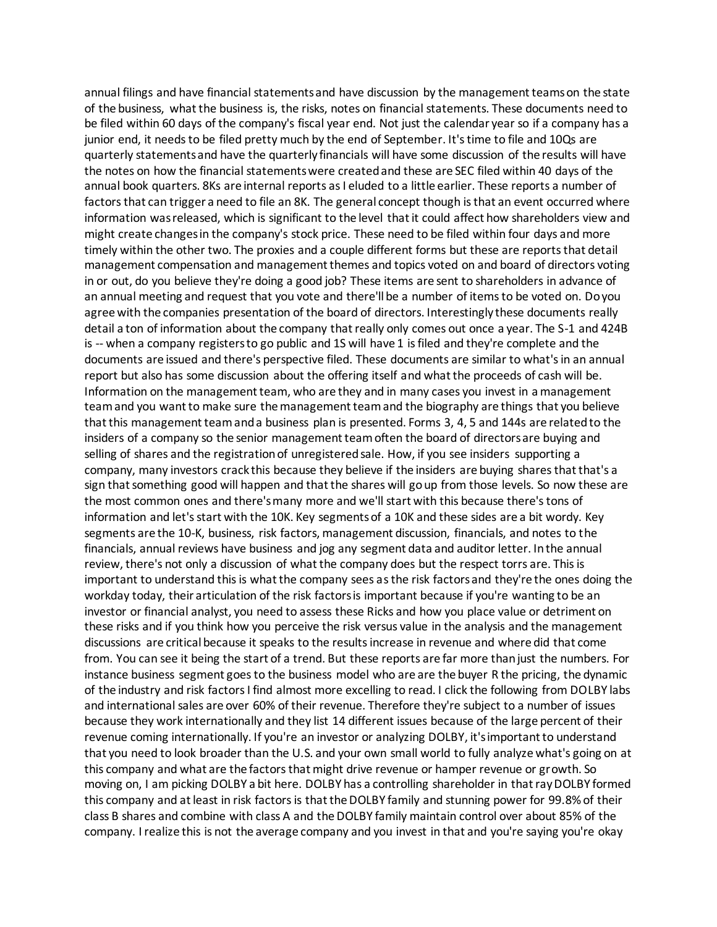annual filings and have financial statements and have discussion by the management teams on the state of the business, what the business is, the risks, notes on financial statements. These documents need to be filed within 60 days of the company's fiscal year end. Not just the calendar year so if a company has a junior end, it needs to be filed pretty much by the end of September. It's time to file and 10Qs are quarterly statements and have the quarterly financials will have some discussion of the results will have the notes on how the financial statements were created and these are SEC filed within 40 days of the annual book quarters. 8Ks are internal reports as I eluded to a little earlier. These reports a number of factors that can trigger a need to file an 8K. The general concept though is that an event occurred where information was released, which is significant to the level that it could affect how shareholders view and might create changes in the company's stock price. These need to be filed within four days and more timely within the other two. The proxies and a couple different forms but these are reports that detail management compensation and management themes and topics voted on and board of directors voting in or out, do you believe they're doing a good job? These items are sent to shareholders in advance of an annual meeting and request that you vote and there'll be a number of items to be voted on. Do you agree with the companies presentation of the board of directors. Interestingly these documents really detail a ton of information about the company that really only comes out once a year. The S-1 and 424B is -- when a company registers to go public and 1S will have 1 is filed and they're complete and the documents are issued and there's perspective filed. These documents are similar to what's in an annual report but also has some discussion about the offering itself and what the proceeds of cash will be. Information on the management team, who are they and in many cases you invest in a management team and you want to make sure the management team and the biography are things that you believe that this management team and a business plan is presented. Forms 3, 4, 5 and 144s are related to the insiders of a company so the senior management team often the board of directors are buying and selling of shares and the registration of unregistered sale. How, if you see insiders supporting a company, many investors crack this because they believe if the insiders are buying shares that that's a sign that something good will happen and that the shares will go up from those levels. So now these are the most common ones and there's many more and we'll start with this because there's tons of information and let's start with the 10K. Key segments of a 10K and these sides are a bit wordy. Key segments are the 10-K, business, risk factors, management discussion, financials, and notes to the financials, annual reviews have business and jog any segment data and auditor letter. In the annual review, there's not only a discussion of what the company does but the respect torrs are. This is important to understand this is what the company sees as the risk factors and they're the ones doing the workday today, their articulation of the risk factors is important because if you're wanting to be an investor or financial analyst, you need to assess these Ricks and how you place value or detriment on these risks and if you think how you perceive the risk versus value in the analysis and the management discussions are critical because it speaks to the results increase in revenue and where did that come from. You can see it being the start of a trend. But these reports are far more than just the numbers. For instance business segment goes to the business model who are are the buyer R the pricing, the dynamic of the industry and risk factors I find almost more excelling to read. I click the following from DOLBY labs and international sales are over 60% of their revenue. Therefore they're subject to a number of issues because they work internationally and they list 14 different issues because of the large percent of their revenue coming internationally. If you're an investor or analyzing DOLBY, it's important to understand that you need to look broader than the U.S. and your own small world to fully analyze what's going on at this company and what are the factors that might drive revenue or hamper revenue or growth. So moving on, I am picking DOLBY a bit here. DOLBY has a controlling shareholder in that ray DOLBY formed this company and at least in risk factors is that the DOLBY family and stunning power for 99.8% of their class B shares and combine with class A and the DOLBY family maintain control over about 85% of the company. I realize this is not the average company and you invest in that and you're saying you're okay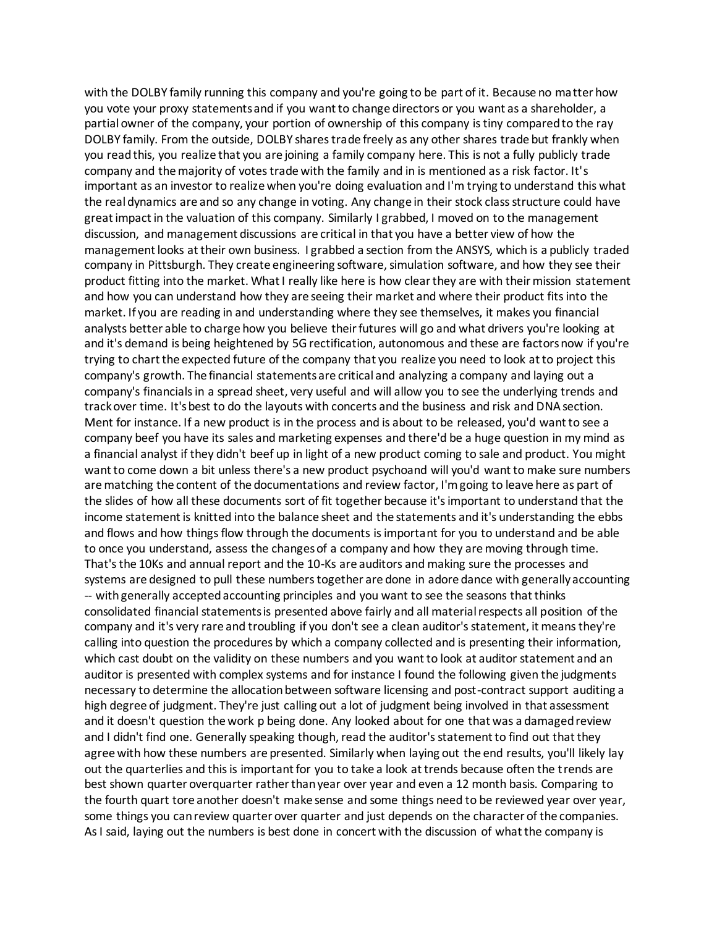with the DOLBY family running this company and you're going to be part of it. Because no matter how you vote your proxy statements and if you want to change directors or you want as a shareholder, a partial owner of the company, your portion of ownership of this company is tiny compared to the ray DOLBY family. From the outside, DOLBY shares trade freely as any other shares trade but frankly when you read this, you realize that you are joining a family company here. This is not a fully publicly trade company and the majority of votes trade with the family and in is mentioned as a risk factor. It's important as an investor to realize when you're doing evaluation and I'm trying to understand this what the real dynamics are and so any change in voting. Any change in their stock class structure could have great impact in the valuation of this company. Similarly I grabbed, I moved on to the management discussion, and management discussions are critical in that you have a better view of how the management looks at their own business. I grabbed a section from the ANSYS, which is a publicly traded company in Pittsburgh. They create engineering software, simulation software, and how they see their product fitting into the market. What I really like here is how clear they are with their mission statement and how you can understand how they are seeing their market and where their product fits into the market. If you are reading in and understanding where they see themselves, it makes you financial analysts better able to charge how you believe their futures will go and what drivers you're looking at and it's demand is being heightened by 5G rectification, autonomous and these are factors now if you're trying to chart the expected future of the company that you realize you need to look at to project this company's growth. The financial statements are critical and analyzing a company and laying out a company's financials in a spread sheet, very useful and will allow you to see the underlying trends and track over time. It's best to do the layouts with concerts and the business and risk and DNA section. Ment for instance. If a new product is in the process and is about to be released, you'd want to see a company beef you have its sales and marketing expenses and there'd be a huge question in my mind as a financial analyst if they didn't beef up in light of a new product coming to sale and product. You might want to come down a bit unless there's a new product psychoand will you'd want to make sure numbers are matching the content of the documentations and review factor, I'm going to leave here as part of the slides of how all these documents sort of fit together because it's important to understand that the income statement is knitted into the balance sheet and the statements and it's understanding the ebbs and flows and how things flow through the documents is important for you to understand and be able to once you understand, assess the changes of a company and how they are moving through time. That's the 10Ks and annual report and the 10-Ks are auditors and making sure the processes and systems are designed to pull these numbers together are done in adore dance with generally accounting -- with generally accepted accounting principles and you want to see the seasons that thinks consolidated financial statements is presented above fairly and all material respects all position of the company and it's very rare and troubling if you don't see a clean auditor's statement, it means they're calling into question the procedures by which a company collected and is presenting their information, which cast doubt on the validity on these numbers and you want to look at auditor statement and an auditor is presented with complex systems and for instance I found the following given the judgments necessary to determine the allocation between software licensing and post-contract support auditing a high degree of judgment. They're just calling out a lot of judgment being involved in that assessment and it doesn't question the work p being done. Any looked about for one that was a damaged review and I didn't find one. Generally speaking though, read the auditor's statement to find out that they agree with how these numbers are presented. Similarly when laying out the end results, you'll likely lay out the quarterlies and this is important for you to take a look at trends because often the trends are best shown quarter overquarter rather than year over year and even a 12 month basis. Comparing to the fourth quart tore another doesn't make sense and some things need to be reviewed year over year, some things you can review quarter over quarter and just depends on the character of the companies. As I said, laying out the numbers is best done in concert with the discussion of what the company is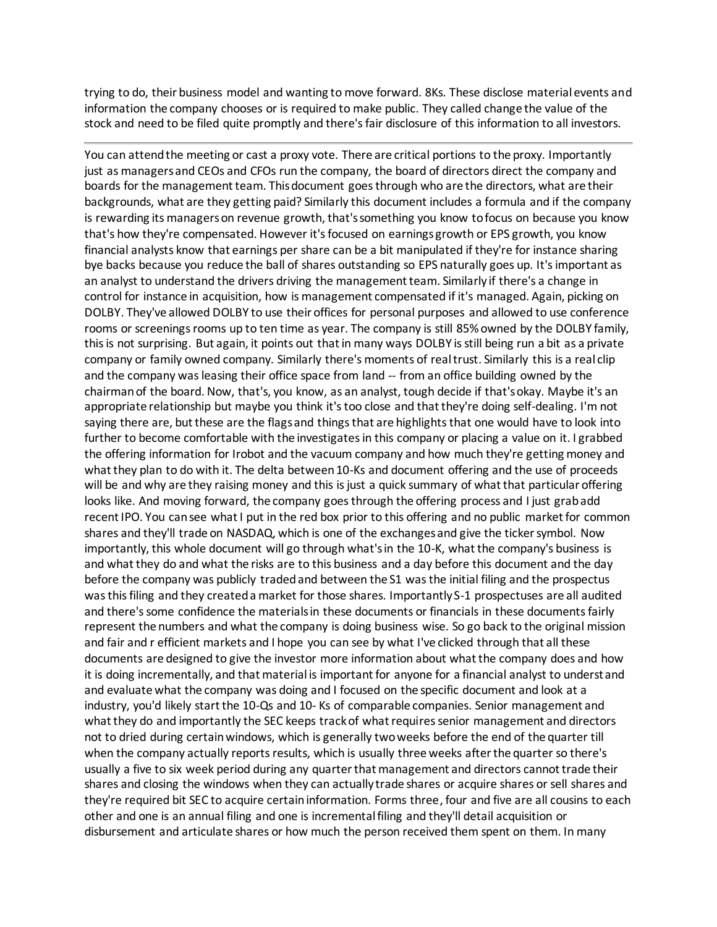trying to do, their business model and wanting to move forward. 8Ks. These disclose material events and information the company chooses or is required to make public. They called change the value of the stock and need to be filed quite promptly and there's fair disclosure of this information to all investors.

You can attend the meeting or cast a proxy vote. There are critical portions to the proxy. Importantly just as managers and CEOs and CFOs run the company, the board of directors direct the company and boards for the management team. This document goes through who are the directors, what are their backgrounds, what are they getting paid? Similarly this document includes a formula and if the company is rewarding its managers on revenue growth, that's something you know to focus on because you know that's how they're compensated. However it's focused on earnings growth or EPS growth, you know financial analysts know that earnings per share can be a bit manipulated if they're for instance sharing bye backs because you reduce the ball of shares outstanding so EPS naturally goes up. It's important as an analyst to understand the drivers driving the management team. Similarly if there's a change in control for instance in acquisition, how is management compensated if it's managed. Again, picking on DOLBY. They've allowed DOLBY to use their offices for personal purposes and allowed to use conference rooms or screenings rooms up to ten time as year. The company is still 85% owned by the DOLBY family, this is not surprising. But again, it points out that in many ways DOLBY is still being run a bit as a private company or family owned company. Similarly there's moments of real trust. Similarly this is a real clip and the company was leasing their office space from land -- from an office building owned by the chairman of the board. Now, that's, you know, as an analyst, tough decide if that's okay. Maybe it's an appropriate relationship but maybe you think it's too close and that they're doing self-dealing. I'm not saying there are, but these are the flags and things that are highlights that one would have to look into further to become comfortable with the investigates in this company or placing a value on it. I grabbed the offering information for Irobot and the vacuum company and how much they're getting money and what they plan to do with it. The delta between 10-Ks and document offering and the use of proceeds will be and why are they raising money and this is just a quick summary of what that particular offering looks like. And moving forward, the company goes through the offering process and I just grab add recent IPO. You can see what I put in the red box prior to this offering and no public market for common shares and they'll trade on NASDAQ, which is one of the exchanges and give the ticker symbol. Now importantly, this whole document will go through what's in the 10-K, what the company's business is and what they do and what the risks are to this business and a day before this document and the day before the company was publicly traded and between the S1 was the initial filing and the prospectus was this filing and they created a market for those shares. Importantly S-1 prospectuses are all audited and there's some confidence the materials in these documents or financials in these documents fairly represent the numbers and what the company is doing business wise. So go back to the original mission and fair and r efficient markets and I hope you can see by what I've clicked through that all these documents are designed to give the investor more information about what the company does and how it is doing incrementally, and that material is important for anyone for a financial analyst to understand and evaluate what the company was doing and I focused on the specific document and look at a industry, you'd likely start the 10-Qs and 10- Ks of comparable companies. Senior management and what they do and importantly the SEC keeps track of what requires senior management and directors not to dried during certain windows, which is generally two weeks before the end of the quarter till when the company actually reports results, which is usually three weeks after the quarter so there's usually a five to six week period during any quarter that management and directors cannot trade their shares and closing the windows when they can actually trade shares or acquire shares or sell shares and they're required bit SEC to acquire certain information. Forms three, four and five are all cousins to each other and one is an annual filing and one is incremental filing and they'll detail acquisition or disbursement and articulate shares or how much the person received them spent on them. In many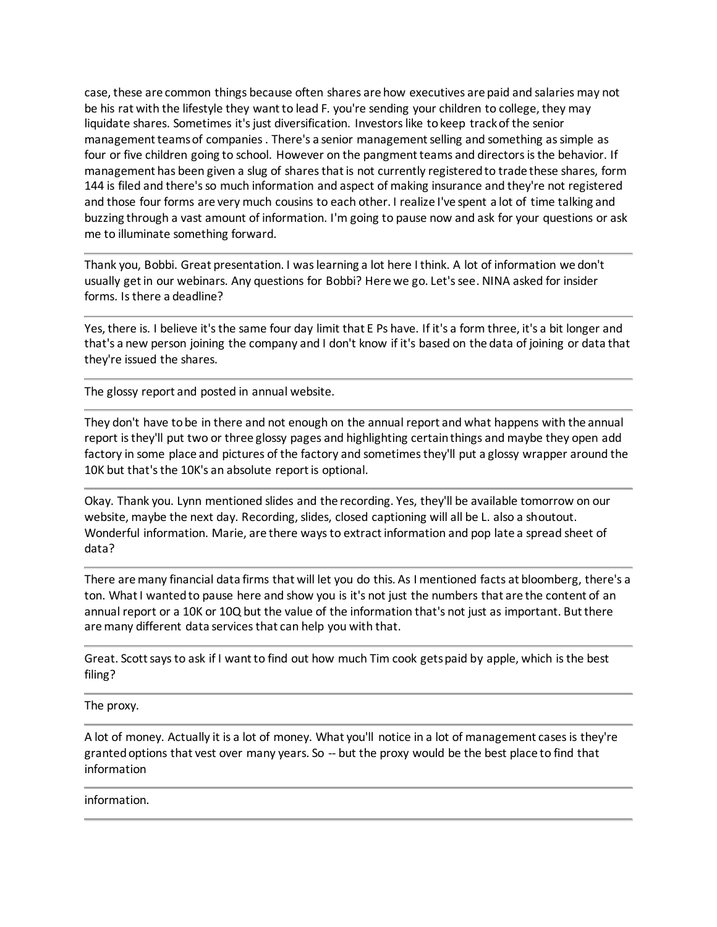case, these are common things because often shares are how executives are paid and salaries may not be his rat with the lifestyle they want to lead F. you're sending your children to college, they may liquidate shares. Sometimes it's just diversification. Investors like to keep track of the senior management teams of companies . There's a senior management selling and something as simple as four or five children going to school. However on the pangment teams and directors is the behavior. If management has been given a slug of shares that is not currently registered to trade these shares, form 144 is filed and there's so much information and aspect of making insurance and they're not registered and those four forms are very much cousins to each other. I realize I've spent a lot of time talking and buzzing through a vast amount of information. I'm going to pause now and ask for your questions or ask me to illuminate something forward.

Thank you, Bobbi. Great presentation. I was learning a lot here I think. A lot of information we don't usually get in our webinars. Any questions for Bobbi? Here we go. Let's see. NINA asked for insider forms. Is there a deadline?

Yes, there is. I believe it's the same four day limit that E Ps have. If it's a form three, it's a bit longer and that's a new person joining the company and I don't know if it's based on the data of joining or data that they're issued the shares.

The glossy report and posted in annual website.

They don't have to be in there and not enough on the annual report and what happens with the annual report is they'll put two or three glossy pages and highlighting certain things and maybe they open add factory in some place and pictures of the factory and sometimes they'll put a glossy wrapper around the 10K but that's the 10K's an absolute report is optional.

Okay. Thank you. Lynn mentioned slides and the recording. Yes, they'll be available tomorrow on our website, maybe the next day. Recording, slides, closed captioning will all be L. also a shoutout. Wonderful information. Marie, are there ways to extract information and pop late a spread sheet of data?

There are many financial data firms that will let you do this. As I mentioned facts at bloomberg, there's a ton. What I wanted to pause here and show you is it's not just the numbers that are the content of an annual report or a 10K or 10Q but the value of the information that's not just as important. But there are many different data services that can help you with that.

Great. Scott says to ask if I want to find out how much Tim cook gets paid by apple, which is the best filing?

The proxy.

A lot of money. Actually it is a lot of money. What you'll notice in a lot of management cases is they're granted options that vest over many years. So -- but the proxy would be the best place to find that information

information.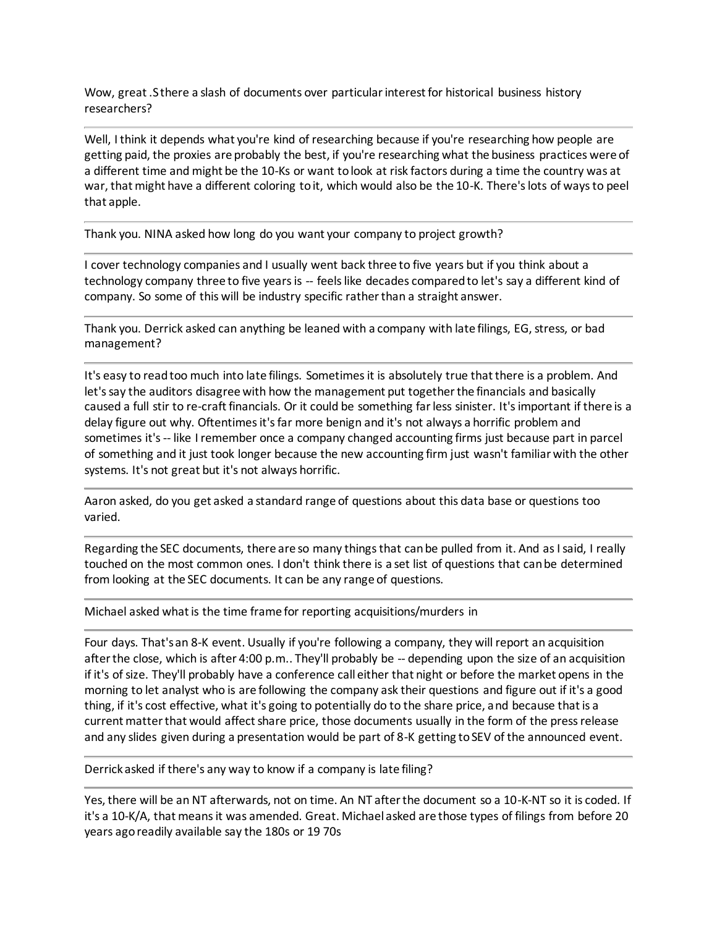Wow, great .S there a slash of documents over particular interest for historical business history researchers?

Well, I think it depends what you're kind of researching because if you're researching how people are getting paid, the proxies are probably the best, if you're researching what the business practices were of a different time and might be the 10-Ks or want to look at risk factors during a time the country was at war, that might have a different coloring to it, which would also be the 10-K. There's lots of ways to peel that apple.

Thank you. NINA asked how long do you want your company to project growth?

I cover technology companies and I usually went back three to five years but if you think about a technology company three to five years is -- feels like decades compared to let's say a different kind of company. So some of this will be industry specific rather than a straight answer.

Thank you. Derrick asked can anything be leaned with a company with late filings, EG, stress, or bad management?

It's easy to read too much into late filings. Sometimes it is absolutely true that there is a problem. And let's say the auditors disagree with how the management put together the financials and basically caused a full stir to re-craft financials. Or it could be something far less sinister. It's important if there is a delay figure out why. Oftentimes it's far more benign and it's not always a horrific problem and sometimes it's -- like I remember once a company changed accounting firms just because part in parcel of something and it just took longer because the new accounting firm just wasn't familiar with the other systems. It's not great but it's not always horrific.

Aaron asked, do you get asked a standard range of questions about this data base or questions too varied.

Regarding the SEC documents, there are so many things that can be pulled from it. And as I said, I really touched on the most common ones. I don't think there is a set list of questions that can be determined from looking at the SEC documents. It can be any range of questions.

Michael asked what is the time frame for reporting acquisitions/murders in

Four days. That's an 8-K event. Usually if you're following a company, they will report an acquisition after the close, which is after 4:00 p.m.. They'll probably be -- depending upon the size of an acquisition if it's of size. They'll probably have a conference call either that night or before the market opens in the morning to let analyst who is are following the company ask their questions and figure out if it's a good thing, if it's cost effective, what it's going to potentially do to the share price, and because that is a current matter that would affect share price, those documents usually in the form of the press release and any slides given during a presentation would be part of 8-K getting to SEV of the announced event.

Derrick asked if there's any way to know if a company is late filing?

Yes, there will be an NT afterwards, not on time. An NT after the document so a 10-K-NT so it is coded. If it's a 10-K/A, that means it was amended. Great. Michael asked are those types of filings from before 20 years ago readily available say the 180s or 19 70s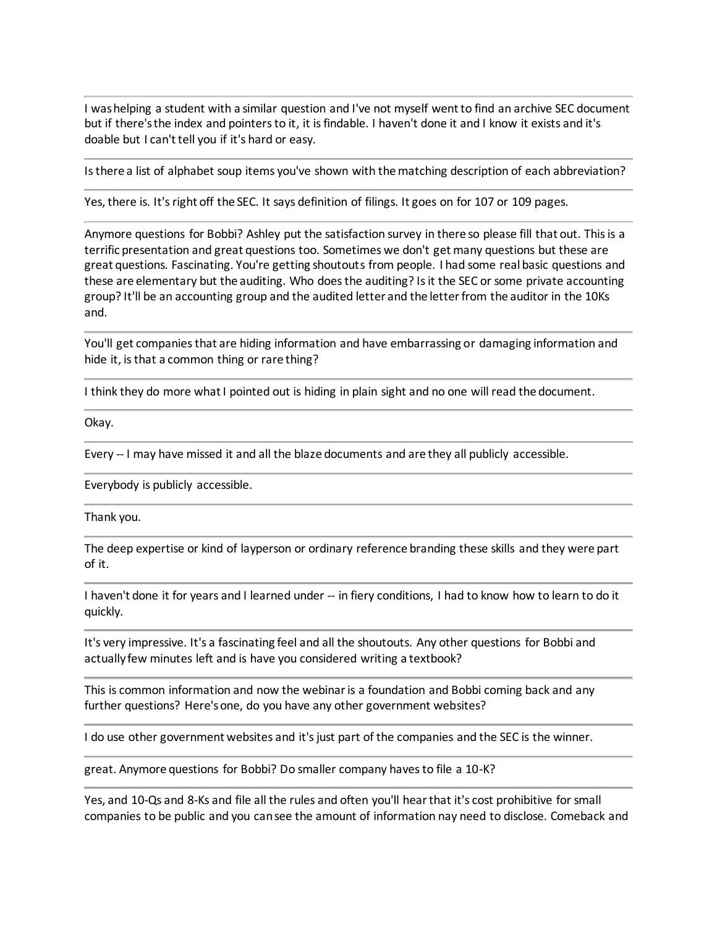I was helping a student with a similar question and I've not myself went to find an archive SEC document but if there's the index and pointers to it, it is findable. I haven't done it and I know it exists and it's doable but I can't tell you if it's hard or easy.

Is there a list of alphabet soup items you've shown with the matching description of each abbreviation?

Yes, there is. It's right off the SEC. It says definition of filings. It goes on for 107 or 109 pages.

Anymore questions for Bobbi? Ashley put the satisfaction survey in there so please fill that out. This is a terrific presentation and great questions too. Sometimes we don't get many questions but these are great questions. Fascinating. You're getting shoutouts from people. I had some real basic questions and these are elementary but the auditing. Who does the auditing? Is it the SEC or some private accounting group? It'll be an accounting group and the audited letter and the letter from the auditor in the 10Ks and.

You'll get companies that are hiding information and have embarrassing or damaging information and hide it, is that a common thing or rare thing?

I think they do more what I pointed out is hiding in plain sight and no one will read the document.

Okay.

Every -- I may have missed it and all the blaze documents and are they all publicly accessible.

Everybody is publicly accessible.

Thank you.

The deep expertise or kind of layperson or ordinary reference branding these skills and they were part of it.

I haven't done it for years and I learned under -- in fiery conditions, I had to know how to learn to do it quickly.

It's very impressive. It's a fascinating feel and all the shoutouts. Any other questions for Bobbi and actually few minutes left and is have you considered writing a textbook?

This is common information and now the webinar is a foundation and Bobbi coming back and any further questions? Here's one, do you have any other government websites?

I do use other government websites and it's just part of the companies and the SEC is the winner.

great. Anymore questions for Bobbi? Do smaller company haves to file a 10-K?

Yes, and 10-Qs and 8-Ks and file all the rules and often you'll hear that it's cost prohibitive for small companies to be public and you can see the amount of information nay need to disclose. Comeback and